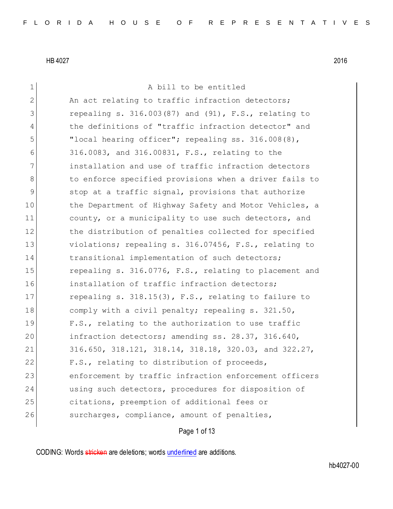| 1  | A bill to be entitled                                                   |
|----|-------------------------------------------------------------------------|
| 2  | An act relating to traffic infraction detectors;                        |
| 3  | repealing s. $316.003(87)$ and $(91)$ , F.S., relating to               |
| 4  | the definitions of "traffic infraction detector" and                    |
| 5  | "local hearing officer"; repealing ss. 316.008(8),                      |
| 6  | 316.0083, and 316.00831, F.S., relating to the                          |
| 7  | installation and use of traffic infraction detectors                    |
| 8  | to enforce specified provisions when a driver fails to                  |
| 9  | stop at a traffic signal, provisions that authorize                     |
| 10 | the Department of Highway Safety and Motor Vehicles, a                  |
| 11 | county, or a municipality to use such detectors, and                    |
| 12 | the distribution of penalties collected for specified                   |
| 13 | violations; repealing s. 316.07456, F.S., relating to                   |
| 14 | transitional implementation of such detectors;                          |
| 15 | repealing s. 316.0776, F.S., relating to placement and                  |
| 16 | installation of traffic infraction detectors;                           |
| 17 | repealing s. $318.15(3)$ , F.S., relating to failure to                 |
| 18 | comply with a civil penalty; repealing s. 321.50,                       |
| 19 | F.S., relating to the authorization to use traffic                      |
| 20 | infraction detectors; amending ss. 28.37, 316.640,                      |
| 21 | $316.650$ , $318.121$ , $318.14$ , $318.18$ , $320.03$ , and $322.27$ , |
| 22 | F.S., relating to distribution of proceeds,                             |
| 23 | enforcement by traffic infraction enforcement officers                  |
| 24 | using such detectors, procedures for disposition of                     |
| 25 | citations, preemption of additional fees or                             |
| 26 | surcharges, compliance, amount of penalties,                            |
|    |                                                                         |

Page 1 of 13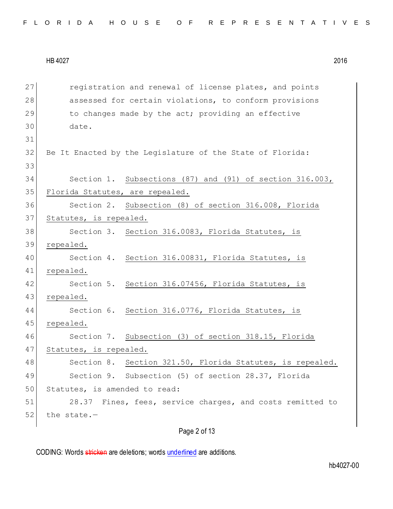| FLORIDA HOUSE OF REPRESENTATIVES |  |  |  |  |  |  |  |  |  |  |
|----------------------------------|--|--|--|--|--|--|--|--|--|--|
|----------------------------------|--|--|--|--|--|--|--|--|--|--|

27 registration and renewal of license plates, and points 28 assessed for certain violations, to conform provisions 29 to changes made by the act; providing an effective 30 date. 31 32 Be It Enacted by the Legislature of the State of Florida: 33 34 Section 1. Subsections (87) and (91) of section 316.003, 35 Florida Statutes, are repealed. 36 Section 2. Subsection (8) of section 316.008, Florida 37 Statutes, is repealed. 38 Section 3. Section 316.0083, Florida Statutes, is 39 repealed. 40 Section 4. Section 316.00831, Florida Statutes, is 41 repealed. 42 Section 5. Section 316.07456, Florida Statutes, is 43 repealed. 44 Section 6. Section 316.0776, Florida Statutes, is 45 repealed. 46 Section 7. Subsection (3) of section 318.15, Florida 47 Statutes, is repealed. 48 Section 8. Section 321.50, Florida Statutes, is repealed. 49 Section 9. Subsection (5) of section 28.37, Florida 50 Statutes, is amended to read: 51 28.37 Fines, fees, service charges, and costs remitted to  $52$  the state.-

Page 2 of 13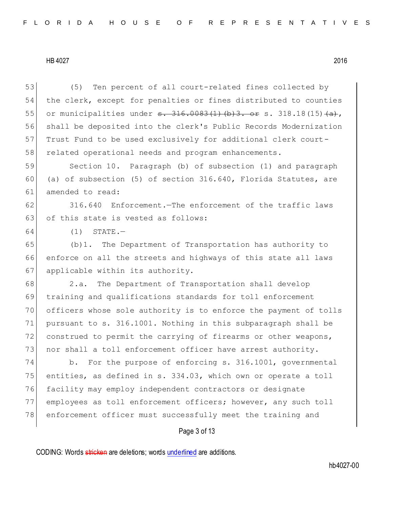| 53 | Ten percent of all court-related fines collected by<br>(5)             |
|----|------------------------------------------------------------------------|
| 54 | the clerk, except for penalties or fines distributed to counties       |
| 55 | or municipalities under $s. 316.0083(1)$ (b) 3. or s. 318.18 (15) (a), |
| 56 | shall be deposited into the clerk's Public Records Modernization       |
| 57 | Trust Fund to be used exclusively for additional clerk court-          |
| 58 | related operational needs and program enhancements.                    |
| 59 | Section 10. Paragraph (b) of subsection (1) and paragraph              |
| 60 | (a) of subsection (5) of section 316.640, Florida Statutes, are        |
| 61 | amended to read:                                                       |
| 62 | Enforcement. The enforcement of the traffic laws<br>316.640            |
| 63 | of this state is vested as follows:                                    |
| 64 | $STATE. -$<br>(1)                                                      |
| 65 | The Department of Transportation has authority to<br>$(b)1$ .          |
| 66 | enforce on all the streets and highways of this state all laws         |
| 67 | applicable within its authority.                                       |
| 68 | The Department of Transportation shall develop<br>2.a.                 |
| 69 | training and qualifications standards for toll enforcement             |
| 70 | officers whose sole authority is to enforce the payment of tolls       |
| 71 | pursuant to s. 316.1001. Nothing in this subparagraph shall be         |
| 72 | construed to permit the carrying of firearms or other weapons,         |
| 73 | nor shall a toll enforcement officer have arrest authority.            |
| 74 | b. For the purpose of enforcing s. 316.1001, governmental              |
| 75 | entities, as defined in s. 334.03, which own or operate a toll         |
| 76 | facility may employ independent contractors or designate               |
| 77 | employees as toll enforcement officers; however, any such toll         |
| 78 | enforcement officer must successfully meet the training and            |
|    | Page 3 of 13                                                           |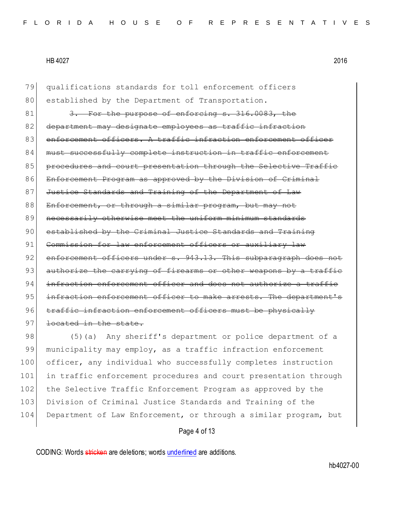79 qualifications standards for toll enforcement officers 80 established by the Department of Transportation. 81 3. For the purpose of enforcing s. 316.0083, the 82 department may designate employees as traffic infraction 83 enforcement officers. A traffic infraction enforcement officer 84 must successfully complete instruction in traffic enforcement 85 procedures and court presentation through the Selective Traffic 86 Enforcement Program as approved by the Division of Criminal 87 Justice Standards and Training of the Department of Law 88 Enforcement, or through a similar program, but may not 89 | necessarily otherwise meet the uniform minimum standards 90 established by the Criminal Justice Standards and Training 91 Commission for law enforcement officers or auxiliary law 92 enforcement officers under s. 943.13. This subparagraph does not 93 authorize the carrying of firearms or other weapons by a traffic 94 infraction enforcement officer and does not authorize a traffic 95 infraction enforcement officer to make arrests. The department's 96 traffic infraction enforcement officers must be physically 97 <del>located in the state.</del>

98 (5)(a) Any sheriff's department or police department of a 99 municipality may employ, as a traffic infraction enforcement 100 officer, any individual who successfully completes instruction 101 in traffic enforcement procedures and court presentation through 102 the Selective Traffic Enforcement Program as approved by the 103 Division of Criminal Justice Standards and Training of the 104 Department of Law Enforcement, or through a similar program, but

#### Page 4 of 13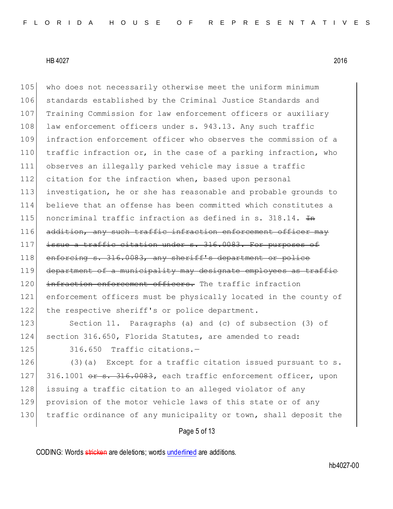HB 4027 2016 105 who does not necessarily otherwise meet the uniform minimum

106 standards established by the Criminal Justice Standards and 107 Training Commission for law enforcement officers or auxiliary 108 law enforcement officers under s. 943.13. Any such traffic 109 infraction enforcement officer who observes the commission of a 110 traffic infraction or, in the case of a parking infraction, who 111 observes an illegally parked vehicle may issue a traffic 112 citation for the infraction when, based upon personal 113 investigation, he or she has reasonable and probable grounds to 114 believe that an offense has been committed which constitutes a 115 noncriminal traffic infraction as defined in s. 318.14.  $H_{\rm H}$ 116 addition, any such traffic infraction enforcement officer may 117 issue a traffic citation under s. 316.0083. For purposes of 118 enforcing s. 316.0083, any sheriff's department or police 119 department of a municipality may designate employees as traffic 120 infraction enforcement officers. The traffic infraction 121 enforcement officers must be physically located in the county of 122 the respective sheriff's or police department.

123 Section 11. Paragraphs (a) and (c) of subsection (3) of 124 section 316.650, Florida Statutes, are amended to read: 125 316.650 Traffic citations.-

126 (3)(a) Except for a traffic citation issued pursuant to s. 127 316.1001 or s. 316.0083, each traffic enforcement officer, upon 128 issuing a traffic citation to an alleged violator of any 129 provision of the motor vehicle laws of this state or of any 130 traffic ordinance of any municipality or town, shall deposit the

Page 5 of 13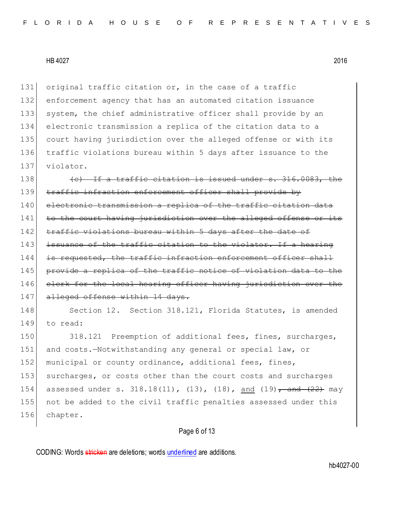131 original traffic citation or, in the case of a traffic 132 enforcement agency that has an automated citation issuance 133 system, the chief administrative officer shall provide by an 134 electronic transmission a replica of the citation data to a 135 court having jurisdiction over the alleged offense or with its 136 traffic violations bureau within 5 days after issuance to the 137 violator.

138  $\left($   $\left\{ \text{c}\right\}$  If a traffic citation is issued under s. 316.0083, 139 traffic infraction enforcement officer shall provide by 140 electronic transmission a replica of the traffic citation data 141 to the court having jurisdiction over the alleged offense or its 142 traffic violations bureau within 5 days after the date of 143 issuance of the traffic citation to the violator. If a hearing 144 is requested, the traffic infraction enforcement officer shall 145 provide a replica of the traffic notice of violation data to the 146 clerk for the local hearing officer having jurisdiction over 147 alleged offense within 14 days.

148 Section 12. Section 318.121, Florida Statutes, is amended 149 to read:

150 318.121 Preemption of additional fees, fines, surcharges, 151 and costs.-Notwithstanding any general or special law, or 152 municipal or county ordinance, additional fees, fines, 153 surcharges, or costs other than the court costs and surcharges 154 assessed under s. 318.18(11), (13), (18), and (19)<del>, and (22)</del> may 155 not be added to the civil traffic penalties assessed under this 156 chapter.

# Page 6 of 13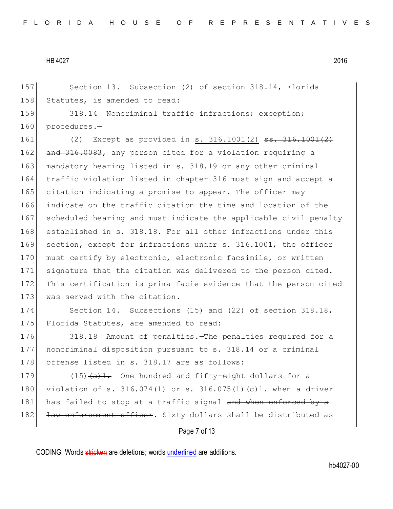157 Section 13. Subsection (2) of section 318.14, Florida 158 Statutes, is amended to read:

159 318.14 Noncriminal traffic infractions; exception; 160 procedures.-

161 (2) Except as provided in s. 316.1001(2) <del>ss. 316.1001(2)</del> 162 and 316.0083, any person cited for a violation requiring a 163 mandatory hearing listed in s. 318.19 or any other criminal 164 traffic violation listed in chapter 316 must sign and accept a 165 citation indicating a promise to appear. The officer may 166 indicate on the traffic citation the time and location of the 167 scheduled hearing and must indicate the applicable civil penalty 168 established in s. 318.18. For all other infractions under this 169 section, except for infractions under s. 316.1001, the officer 170 must certify by electronic, electronic facsimile, or written 171 signature that the citation was delivered to the person cited. 172 This certification is prima facie evidence that the person cited 173 was served with the citation.

174 Section 14. Subsections (15) and (22) of section 318.18, 175 Florida Statutes, are amended to read:

176 318.18 Amount of penalties. The penalties required for a 177 noncriminal disposition pursuant to s. 318.14 or a criminal 178 offense listed in s. 318.17 are as follows:

179  $(15)$   $(a)$ 1. One hundred and fifty-eight dollars for a 180 violation of s. 316.074(1) or s. 316.075(1)(c)1. when a driver 181 has failed to stop at a traffic signal and when enforced by a 182 <del>law enforcement officer</del>. Sixty dollars shall be distributed as

## Page 7 of 13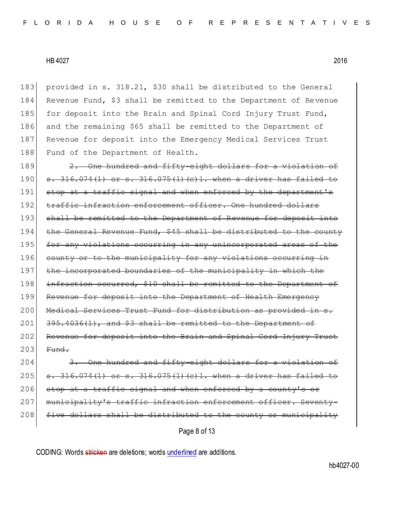provided in s. 318.21, \$30 shall be distributed to the General Revenue Fund, \$3 shall be remitted to the Department of Revenue 185 for deposit into the Brain and Spinal Cord Injury Trust Fund, and the remaining \$65 shall be remitted to the Department of Revenue for deposit into the Emergency Medical Services Trust 188 Fund of the Department of Health.

189 2. One hundred and fifty-eight dollars for a violation of  $190 \mid$  s. 316.074(1) or s. 316.075(1)(c)1. when a driver has failed 191 stop at a traffic signal and when enforced by the department's 192 traffic infraction enforcement officer. One hundred dollars 193 shall be remitted to the Department of Revenue for deposit into 194 the General Revenue Fund, \$45 shall be distributed to the county 195 for any violations occurring in any unincorporated areas of the 196 county or to the municipality for any violations occurring in 197 the incorporated boundaries of the municipality in which the 198 infraction occurred, \$10 shall be remitted to the Department of 199 Revenue for deposit into the Department of Health Emergency 200 Medical Services Trust Fund for distribution as provided in s.  $201$   $395.4036(1)$ , and \$3 shall be remitted to the Department of 202 Revenue for deposit into the Brain and Spinal Cord Injury Trust  $203$  Fund.

204 3. One hundred and fifty-eight dollars for a violation of 205  $\sigma$ . 316.074(1) or s. 316.075(1)(c)1. when a driver has failed to 206 stop at a traffic signal and when enforced by a county's or 207 municipality's traffic infraction enforcement officer. Seventy-208 five dollars shall be distributed to the county or municipality

Page 8 of 13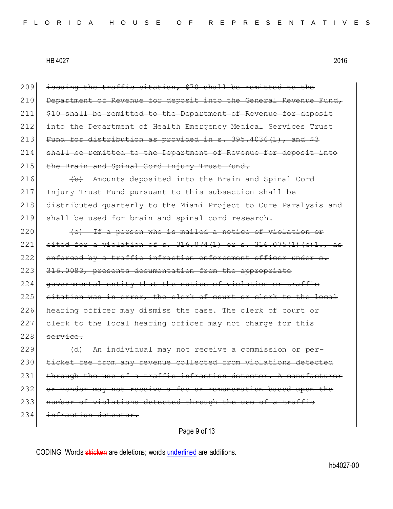Page 9 of 13  $209$  issuing the traffic citation, \$70 shall be remitted to the 210 Department of Revenue for deposit into the General Revenue Fund, 211 \$10 shall be remitted to the Department of Revenue for deposit 212 into the Department of Health Emergency Medical Services Trust 213 Fund for distribution as provided in  $s. 395.4036(1)$ , and  $$3$ 214 shall be remitted to the Department of Revenue for deposit into 215 the Brain and Spinal Cord Injury Trust Fund. 216 (b) Amounts deposited into the Brain and Spinal Cord 217 Injury Trust Fund pursuant to this subsection shall be 218 distributed quarterly to the Miami Project to Cure Paralysis and 219 shall be used for brain and spinal cord research.  $220$  (c) If a person who is mailed a notice of violation or 221 cited for a violation of s.  $316.074(1)$  or s.  $316.075(1)(c)1.$ , as 222 enforced by a traffic infraction enforcement officer under  $s$ . 223 316.0083, presents documentation from the appropriate 224 governmental entity that the notice of violation or traffic 225 citation was in error, the clerk of court or clerk to the local 226 hearing officer may dismiss the case. The clerk of court or 227 clerk to the local hearing officer may not charge for this  $228$  service. 229 (d) An individual may not receive a commission or per-230 ticket fee from any revenue collected from violations detected  $231$  through the use of a traffic infraction detector. A manufacturer 232 or vendor may not receive a fee or remuneration based upon the 233 number of violations detected through the use of a traffic 234 infraction detector.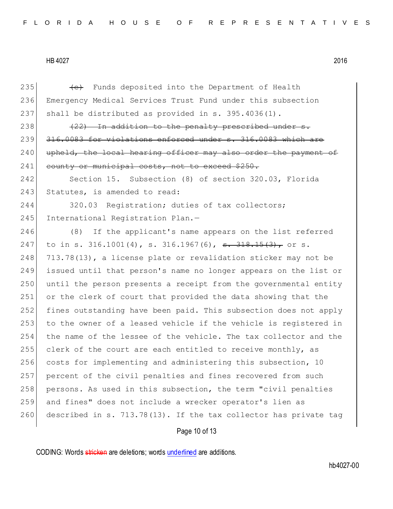| 235 | (e) Funds deposited into the Department of Health                    |
|-----|----------------------------------------------------------------------|
| 236 | Emergency Medical Services Trust Fund under this subsection          |
| 237 | shall be distributed as provided in $s. 395.4036(1)$ .               |
| 238 | $(22)$ In addition to the penalty prescribed under s.                |
| 239 | 316.0083 for violations enforced under s. 316.0083 which are         |
| 240 | upheld, the local hearing officer may also order the payment of      |
| 241 | county or municipal costs, not to exceed \$250.                      |
| 242 | Section 15. Subsection (8) of section 320.03, Florida                |
| 243 | Statutes, is amended to read:                                        |
| 244 | 320.03 Registration; duties of tax collectors;                       |
| 245 | International Registration Plan.-                                    |
| 246 | If the applicant's name appears on the list referred<br>(8)          |
| 247 | to in s. 316.1001(4), s. 316.1967(6), <del>s. 318.15(3),</del> or s. |
| 248 | 713.78(13), a license plate or revalidation sticker may not be       |
| 249 | issued until that person's name no longer appears on the list or     |
| 250 | until the person presents a receipt from the governmental entity     |
| 251 | or the clerk of court that provided the data showing that the        |
| 252 | fines outstanding have been paid. This subsection does not apply     |
| 253 | to the owner of a leased vehicle if the vehicle is registered in     |
| 254 | the name of the lessee of the vehicle. The tax collector and the     |
| 255 | clerk of the court are each entitled to receive monthly, as          |
| 256 | costs for implementing and administering this subsection, 10         |
| 257 | percent of the civil penalties and fines recovered from such         |
| 258 | persons. As used in this subsection, the term "civil penalties       |
| 259 | and fines" does not include a wrecker operator's lien as             |
| 260 | described in s. 713.78(13). If the tax collector has private tag     |
|     |                                                                      |

Page 10 of 13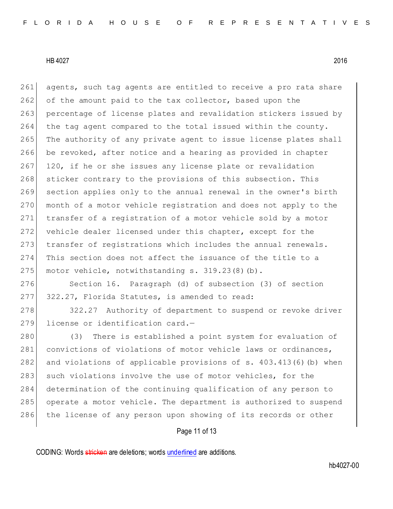261 agents, such tag agents are entitled to receive a pro rata share 262 of the amount paid to the tax collector, based upon the 263 percentage of license plates and revalidation stickers issued by 264 the tag agent compared to the total issued within the county. 265 The authority of any private agent to issue license plates shall 266 be revoked, after notice and a hearing as provided in chapter  $267$  120, if he or she issues any license plate or revalidation 268 sticker contrary to the provisions of this subsection. This 269 section applies only to the annual renewal in the owner's birth 270 month of a motor vehicle registration and does not apply to the 271 transfer of a registration of a motor vehicle sold by a motor 272 vehicle dealer licensed under this chapter, except for the 273 transfer of registrations which includes the annual renewals. 274 This section does not affect the issuance of the title to a 275 motor vehicle, notwithstanding s. 319.23(8)(b).

276 Section 16. Paragraph (d) of subsection (3) of section 277 322.27, Florida Statutes, is amended to read:

278 322.27 Authority of department to suspend or revoke driver 279 license or identification card.-

280 (3) There is established a point system for evaluation of 281 convictions of violations of motor vehicle laws or ordinances, 282 and violations of applicable provisions of s. 403.413(6)(b) when 283 such violations involve the use of motor vehicles, for the 284 determination of the continuing qualification of any person to 285 operate a motor vehicle. The department is authorized to suspend 286 the license of any person upon showing of its records or other

# Page 11 of 13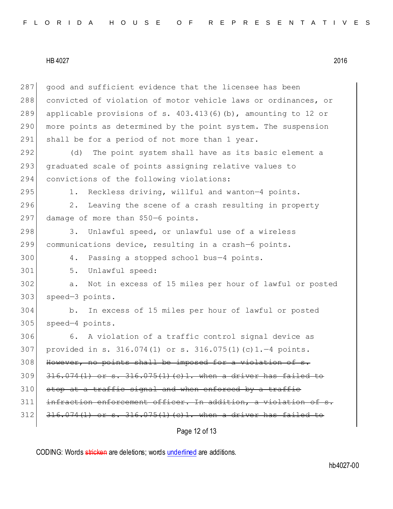| 287 | good and sufficient evidence that the licensee has been            |
|-----|--------------------------------------------------------------------|
| 288 | convicted of violation of motor vehicle laws or ordinances, or     |
| 289 | applicable provisions of s. $403.413(6)$ (b), amounting to 12 or   |
| 290 | more points as determined by the point system. The suspension      |
| 291 | shall be for a period of not more than 1 year.                     |
| 292 | The point system shall have as its basic element a<br>(d)          |
| 293 | graduated scale of points assigning relative values to             |
| 294 | convictions of the following violations:                           |
| 295 | Reckless driving, willful and wanton-4 points.<br>1.               |
| 296 | Leaving the scene of a crash resulting in property<br>2.           |
| 297 | damage of more than \$50-6 points.                                 |
| 298 | 3.<br>Unlawful speed, or unlawful use of a wireless                |
| 299 | communications device, resulting in a crash-6 points.              |
| 300 | Passing a stopped school bus-4 points.<br>4.                       |
| 301 | 5.<br>Unlawful speed:                                              |
| 302 | Not in excess of 15 miles per hour of lawful or posted<br>a.       |
| 303 | speed-3 points.                                                    |
| 304 | In excess of 15 miles per hour of lawful or posted<br>b.           |
| 305 | speed-4 points.                                                    |
| 306 | A violation of a traffic control signal device as<br>6.            |
| 307 | provided in s. $316.074(1)$ or s. $316.075(1)$ (c) $1.-4$ points.  |
| 308 | However, no points shall be imposed for a violation of             |
| 309 | $316.074(1)$ or s. $316.075(1)$ (c) 1. when a driver has failed to |
| 310 | stop at a traffic signal and when enforced by a traffic            |
| 311 | infraction enforcement officer. In addition, a violation of s.     |
| 312 | $316.074(1)$ or s. $316.075(1)$ (c)1. when a driver has failed to  |
|     | Page 12 of 13                                                      |